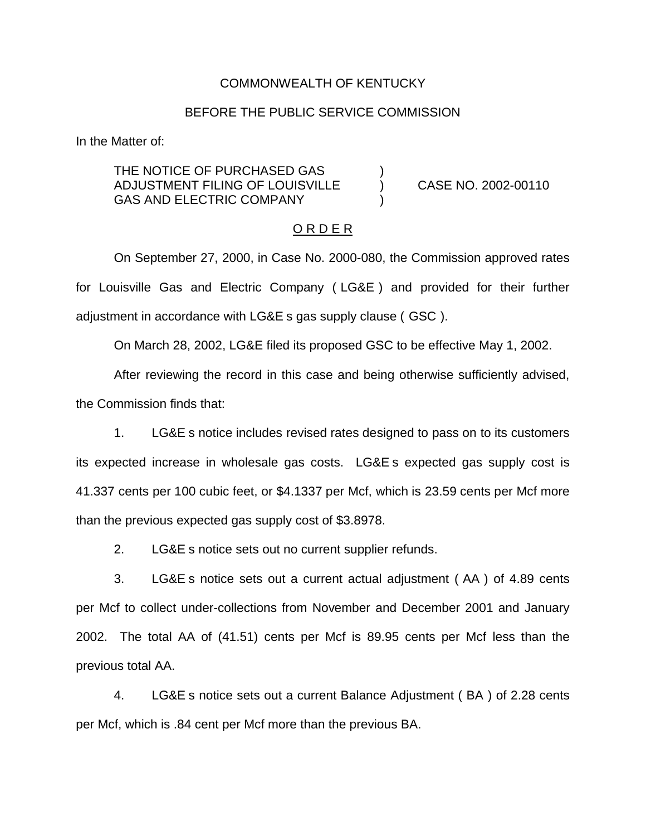### COMMONWEALTH OF KENTUCKY

## BEFORE THE PUBLIC SERVICE COMMISSION

In the Matter of:

THE NOTICE OF PURCHASED GAS ADJUSTMENT FILING OF LOUISVILLE ) CASE NO. 2002-00110 GAS AND ELECTRIC COMPANY

#### O R D E R

On September 27, 2000, in Case No. 2000-080, the Commission approved rates for Louisville Gas and Electric Company ( LG&E ) and provided for their further adjustment in accordance with LG&E s gas supply clause ( GSC ).

On March 28, 2002, LG&E filed its proposed GSC to be effective May 1, 2002.

After reviewing the record in this case and being otherwise sufficiently advised, the Commission finds that:

1. LG&E s notice includes revised rates designed to pass on to its customers its expected increase in wholesale gas costs. LG&E s expected gas supply cost is 41.337 cents per 100 cubic feet, or \$4.1337 per Mcf, which is 23.59 cents per Mcf more than the previous expected gas supply cost of \$3.8978.

2. LG&E s notice sets out no current supplier refunds.

3. LG&E s notice sets out a current actual adjustment ( AA ) of 4.89 cents per Mcf to collect under-collections from November and December 2001 and January 2002. The total AA of (41.51) cents per Mcf is 89.95 cents per Mcf less than the previous total AA.

4. LG&E s notice sets out a current Balance Adjustment ( BA ) of 2.28 cents per Mcf, which is .84 cent per Mcf more than the previous BA.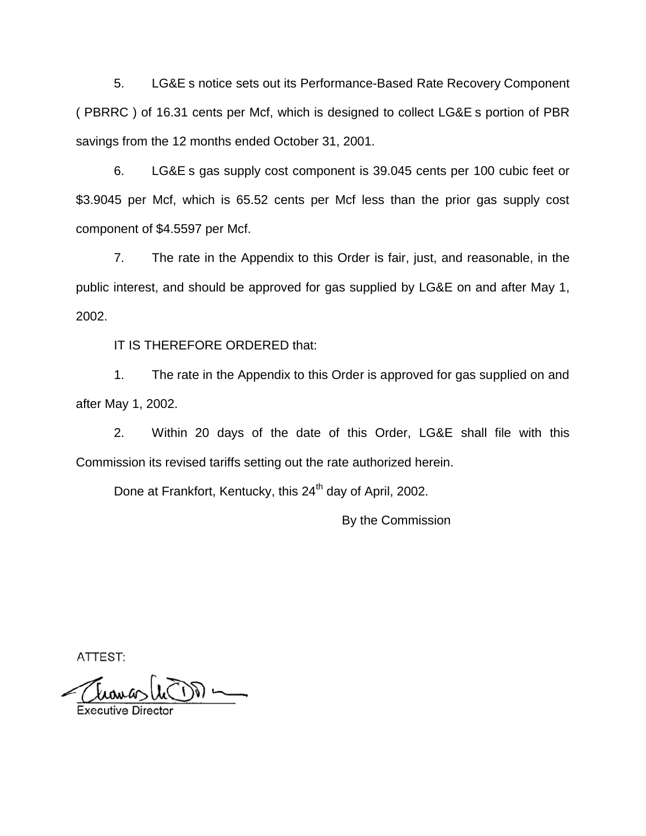5. LG&E s notice sets out its Performance-Based Rate Recovery Component ( PBRRC ) of 16.31 cents per Mcf, which is designed to collect LG&E s portion of PBR savings from the 12 months ended October 31, 2001.

6. LG&E s gas supply cost component is 39.045 cents per 100 cubic feet or \$3.9045 per Mcf, which is 65.52 cents per Mcf less than the prior gas supply cost component of \$4.5597 per Mcf.

7. The rate in the Appendix to this Order is fair, just, and reasonable, in the public interest, and should be approved for gas supplied by LG&E on and after May 1, 2002.

IT IS THEREFORE ORDERED that:

1. The rate in the Appendix to this Order is approved for gas supplied on and after May 1, 2002.

2. Within 20 days of the date of this Order, LG&E shall file with this Commission its revised tariffs setting out the rate authorized herein.

Done at Frankfort, Kentucky, this 24<sup>th</sup> day of April, 2002.

By the Commission

ATTEST:

**Executive Direct**